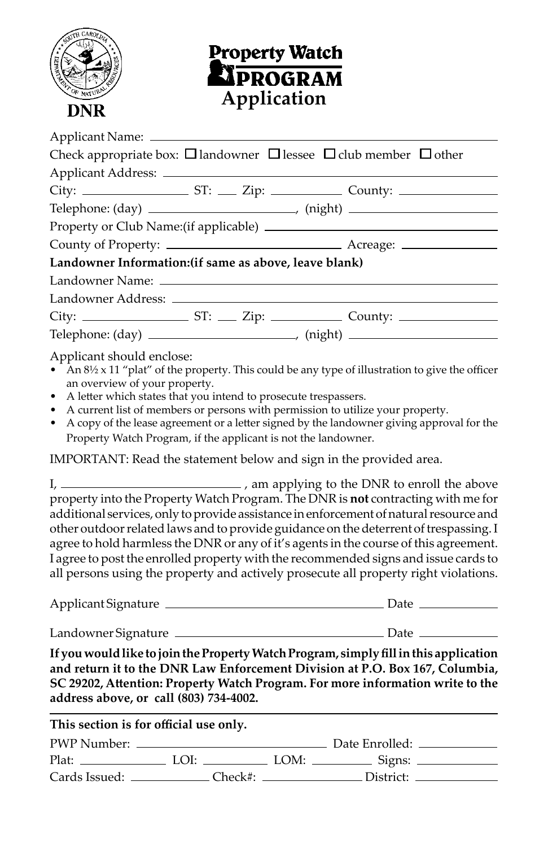

## **Property Watch SPROGRAM Application**

| Check appropriate box: $\square$ landowner $\square$ lessee $\square$ club member $\square$ other                                                                              |  |
|--------------------------------------------------------------------------------------------------------------------------------------------------------------------------------|--|
|                                                                                                                                                                                |  |
|                                                                                                                                                                                |  |
|                                                                                                                                                                                |  |
|                                                                                                                                                                                |  |
|                                                                                                                                                                                |  |
| Landowner Information: (if same as above, leave blank)                                                                                                                         |  |
|                                                                                                                                                                                |  |
|                                                                                                                                                                                |  |
|                                                                                                                                                                                |  |
|                                                                                                                                                                                |  |
| Applicant should enclose:<br>• An $8\frac{1}{2} \times 11$ "plat" of the property. This could be any type of illustration to give the officer<br>an overview of your property. |  |

- A letter which states that you intend to prosecute trespassers.
- A current list of members or persons with permission to utilize your property.
- A copy of the lease agreement or a letter signed by the landowner giving approval for the Property Watch Program, if the applicant is not the landowner.

IMPORTANT: Read the statement below and sign in the provided area.

I,  $\frac{1}{2}$  , am applying to the DNR to enroll the above property into the Property Watch Program. The DNR is **not** contracting with me for additional services, only to provide assistance in enforcement of natural resource and other outdoor related laws and to provide guidance on the deterrent of trespassing. I agree to hold harmless the DNR or any of it's agents in the course of this agreement. I agree to post the enrolled property with the recommended signs and issue cards to all persons using the property and actively prosecute all property right violations.

| Applicant Signature | Date |  |
|---------------------|------|--|
|                     |      |  |
|                     |      |  |

Landowner Signature Date

 **Ifyouwouldlike tojointhePropertyWatchProgram, simplyfillinthis application SC 29202, Attention: Property Watch Program. For more information write to the and return it to the DNR Law Enforcement Division at P.O. Box 167, Columbia, address above, or call (803) 734-4002.** 

| This section is for official use only. |                                                                                  |  |                              |  |  |
|----------------------------------------|----------------------------------------------------------------------------------|--|------------------------------|--|--|
|                                        |                                                                                  |  | Date Enrolled: _____________ |  |  |
|                                        |                                                                                  |  |                              |  |  |
|                                        | Cards Issued: ______________Check#: ___________________District: _______________ |  |                              |  |  |